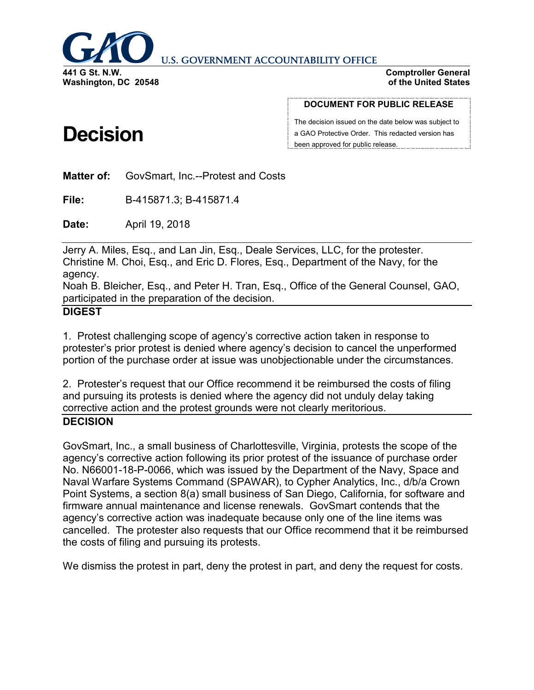

**U.S. GOVERNMENT ACCOUNTABILITY OFFICE** 

**Comptroller General of the United States**

#### **DOCUMENT FOR PUBLIC RELEASE**

The decision issued on the date below was subject to a GAO Protective Order. This redacted version has been approved for public release.

**Matter of:** GovSmart, Inc.--Protest and Costs

**File:** B-415871.3; B-415871.4

**Date:** April 19, 2018

Jerry A. Miles, Esq., and Lan Jin, Esq., Deale Services, LLC, for the protester. Christine M. Choi, Esq., and Eric D. Flores, Esq., Department of the Navy, for the agency.

Noah B. Bleicher, Esq., and Peter H. Tran, Esq., Office of the General Counsel, GAO, participated in the preparation of the decision.

#### **DIGEST**

1. Protest challenging scope of agency's corrective action taken in response to protester's prior protest is denied where agency's decision to cancel the unperformed portion of the purchase order at issue was unobjectionable under the circumstances.

2. Protester's request that our Office recommend it be reimbursed the costs of filing and pursuing its protests is denied where the agency did not unduly delay taking corrective action and the protest grounds were not clearly meritorious. **DECISION**

GovSmart, Inc., a small business of Charlottesville, Virginia, protests the scope of the agency's corrective action following its prior protest of the issuance of purchase order No. N66001-18-P-0066, which was issued by the Department of the Navy, Space and Naval Warfare Systems Command (SPAWAR), to Cypher Analytics, Inc., d/b/a Crown Point Systems, a section 8(a) small business of San Diego, California, for software and firmware annual maintenance and license renewals. GovSmart contends that the agency's corrective action was inadequate because only one of the line items was cancelled. The protester also requests that our Office recommend that it be reimbursed the costs of filing and pursuing its protests.

We dismiss the protest in part, deny the protest in part, and deny the request for costs.

# **Decision**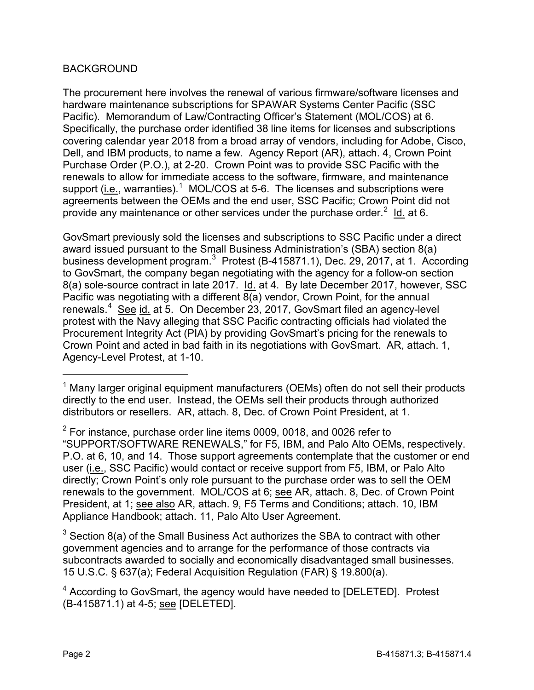## BACKGROUND

The procurement here involves the renewal of various firmware/software licenses and hardware maintenance subscriptions for SPAWAR Systems Center Pacific (SSC Pacific). Memorandum of Law/Contracting Officer's Statement (MOL/COS) at 6. Specifically, the purchase order identified 38 line items for licenses and subscriptions covering calendar year 2018 from a broad array of vendors, including for Adobe, Cisco, Dell, and IBM products, to name a few. Agency Report (AR), attach. 4, Crown Point Purchase Order (P.O.), at 2-20. Crown Point was to provide SSC Pacific with the renewals to allow for immediate access to the software, firmware, and maintenance support (*i.e.*, warranties).<sup>[1](#page-1-0)</sup> MOL/COS at 5-6. The licenses and subscriptions were agreements between the OEMs and the end user, SSC Pacific; Crown Point did not provide any maintenance or other services under the purchase order.<sup>[2](#page-1-1)</sup> ld. at 6.

GovSmart previously sold the licenses and subscriptions to SSC Pacific under a direct award issued pursuant to the Small Business Administration's (SBA) section 8(a) business development program.<sup>[3](#page-1-2)</sup> Protest (B-415871.1), Dec. 29, 2017, at 1. According to GovSmart, the company began negotiating with the agency for a follow-on section 8(a) sole-source contract in late 2017. Id. at 4. By late December 2017, however, SSC Pacific was negotiating with a different 8(a) vendor, Crown Point, for the annual renewals.<sup>[4](#page-1-3)</sup> See id. at 5. On December 23, 2017, GovSmart filed an agency-level protest with the Navy alleging that SSC Pacific contracting officials had violated the Procurement Integrity Act (PIA) by providing GovSmart's pricing for the renewals to Crown Point and acted in bad faith in its negotiations with GovSmart. AR, attach. 1, Agency-Level Protest, at 1-10.

<span id="page-1-1"></span> $2$  For instance, purchase order line items 0009, 0018, and 0026 refer to "SUPPORT/SOFTWARE RENEWALS," for F5, IBM, and Palo Alto OEMs, respectively. P.O. at 6, 10, and 14. Those support agreements contemplate that the customer or end user (i.e., SSC Pacific) would contact or receive support from F5, IBM, or Palo Alto directly; Crown Point's only role pursuant to the purchase order was to sell the OEM renewals to the government. MOL/COS at 6; see AR, attach. 8, Dec. of Crown Point President, at 1; see also AR, attach. 9, F5 Terms and Conditions; attach. 10, IBM Appliance Handbook; attach. 11, Palo Alto User Agreement.

<span id="page-1-2"></span> $3$  Section 8(a) of the Small Business Act authorizes the SBA to contract with other government agencies and to arrange for the performance of those contracts via subcontracts awarded to socially and economically disadvantaged small businesses. 15 U.S.C. § 637(a); Federal Acquisition Regulation (FAR) § 19.800(a).

<span id="page-1-0"></span><sup>&</sup>lt;sup>1</sup> Many larger original equipment manufacturers (OEMs) often do not sell their products directly to the end user. Instead, the OEMs sell their products through authorized distributors or resellers. AR, attach. 8, Dec. of Crown Point President, at 1.

<span id="page-1-3"></span><sup>4</sup> According to GovSmart, the agency would have needed to [DELETED]. Protest (B-415871.1) at 4-5; see [DELETED].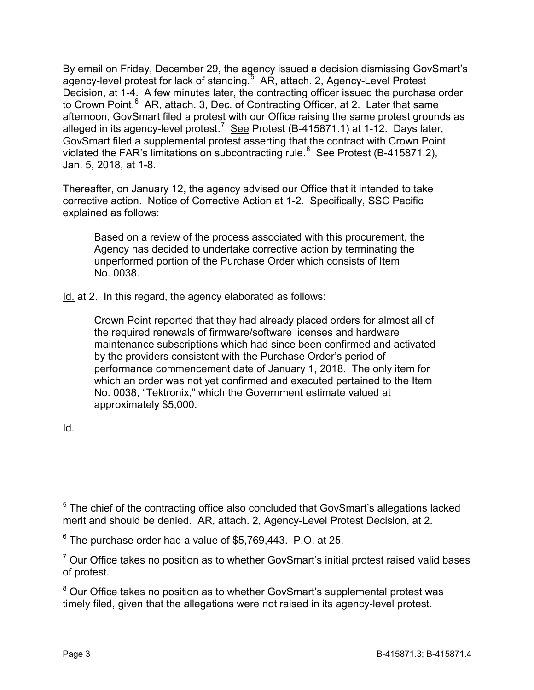By email on Friday, December 29, the agency issued a decision dismissing GovSmart's agency-level protest for lack of standing.<sup>[5](#page-2-0)</sup> AR, attach. 2, Agency-Level Protest Decision, at 1-4. A few minutes later, the contracting officer issued the purchase order to Crown Point.<sup>[6](#page-2-1)</sup> AR, attach. 3, Dec. of Contracting Officer, at 2. Later that same afternoon, GovSmart filed a protest with our Office raising the same protest grounds as alleged in its agency-level protest.<sup>[7](#page-2-2)</sup> See Protest (B-415871.1) at 1-12. Days later, GovSmart filed a supplemental protest asserting that the contract with Crown Point violated the FAR's limitations on subcontracting rule.<sup>[8](#page-2-3)</sup> See Protest (B-415871.2), Jan. 5, 2018, at 1-8.

Thereafter, on January 12, the agency advised our Office that it intended to take corrective action. Notice of Corrective Action at 1-2. Specifically, SSC Pacific explained as follows:

Based on a review of the process associated with this procurement, the Agency has decided to undertake corrective action by terminating the unperformed portion of the Purchase Order which consists of Item No. 0038.

Id. at 2. In this regard, the agency elaborated as follows:

Crown Point reported that they had already placed orders for almost all of the required renewals of firmware/software licenses and hardware maintenance subscriptions which had since been confirmed and activated by the providers consistent with the Purchase Order's period of performance commencement date of January 1, 2018. The only item for which an order was not yet confirmed and executed pertained to the Item No. 0038, "Tektronix," which the Government estimate valued at approximately \$5,000.

Id.

<span id="page-2-0"></span> $5$  The chief of the contracting office also concluded that GovSmart's allegations lacked merit and should be denied. AR, attach. 2, Agency-Level Protest Decision, at 2.

<span id="page-2-1"></span> $6$  The purchase order had a value of \$5,769,443. P.O. at 25.

<span id="page-2-2"></span> $7$  Our Office takes no position as to whether GovSmart's initial protest raised valid bases of protest.

<span id="page-2-3"></span><sup>&</sup>lt;sup>8</sup> Our Office takes no position as to whether GovSmart's supplemental protest was timely filed, given that the allegations were not raised in its agency-level protest.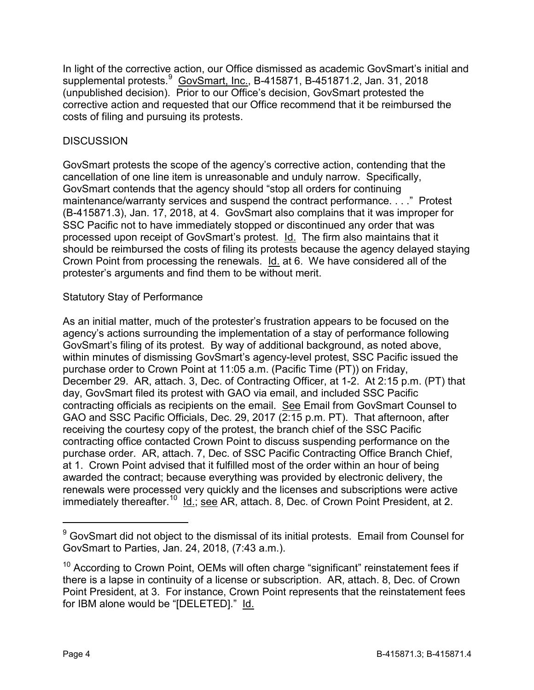In light of the corrective action, our Office dismissed as academic GovSmart's initial and supplemental protests.<sup>[9](#page-3-0)</sup> GovSmart, Inc., B-415871, B-451871.2, Jan. 31, 2018 (unpublished decision). Prior to our Office's decision, GovSmart protested the corrective action and requested that our Office recommend that it be reimbursed the costs of filing and pursuing its protests.

# **DISCUSSION**

GovSmart protests the scope of the agency's corrective action, contending that the cancellation of one line item is unreasonable and unduly narrow. Specifically, GovSmart contends that the agency should "stop all orders for continuing maintenance/warranty services and suspend the contract performance. . . ." Protest (B-415871.3), Jan. 17, 2018, at 4. GovSmart also complains that it was improper for SSC Pacific not to have immediately stopped or discontinued any order that was processed upon receipt of GovSmart's protest. Id. The firm also maintains that it should be reimbursed the costs of filing its protests because the agency delayed staying Crown Point from processing the renewals. Id. at 6. We have considered all of the protester's arguments and find them to be without merit.

## Statutory Stay of Performance

As an initial matter, much of the protester's frustration appears to be focused on the agency's actions surrounding the implementation of a stay of performance following GovSmart's filing of its protest. By way of additional background, as noted above, within minutes of dismissing GovSmart's agency-level protest, SSC Pacific issued the purchase order to Crown Point at 11:05 a.m. (Pacific Time (PT)) on Friday, December 29. AR, attach. 3, Dec. of Contracting Officer, at 1-2. At 2:15 p.m. (PT) that day, GovSmart filed its protest with GAO via email, and included SSC Pacific contracting officials as recipients on the email. See Email from GovSmart Counsel to GAO and SSC Pacific Officials, Dec. 29, 2017 (2:15 p.m. PT). That afternoon, after receiving the courtesy copy of the protest, the branch chief of the SSC Pacific contracting office contacted Crown Point to discuss suspending performance on the purchase order. AR, attach. 7, Dec. of SSC Pacific Contracting Office Branch Chief, at 1. Crown Point advised that it fulfilled most of the order within an hour of being awarded the contract; because everything was provided by electronic delivery, the renewals were processed very quickly and the licenses and subscriptions were active immediately thereafter.<sup>[10](#page-3-1)</sup> Id.; see AR, attach. 8, Dec. of Crown Point President, at 2.

<span id="page-3-0"></span><sup>&</sup>lt;sup>9</sup> GovSmart did not object to the dismissal of its initial protests. Email from Counsel for GovSmart to Parties, Jan. 24, 2018, (7:43 a.m.).

<span id="page-3-1"></span><sup>&</sup>lt;sup>10</sup> According to Crown Point, OEMs will often charge "significant" reinstatement fees if there is a lapse in continuity of a license or subscription. AR, attach. 8, Dec. of Crown Point President, at 3. For instance, Crown Point represents that the reinstatement fees for IBM alone would be "[DELETED]." Id.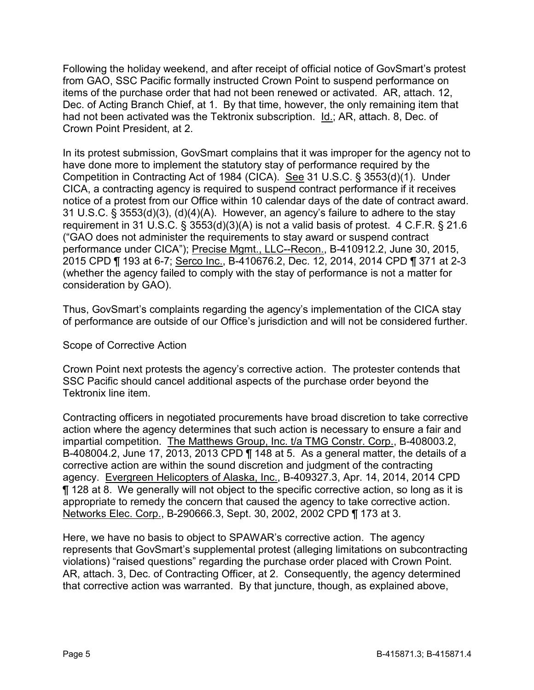Following the holiday weekend, and after receipt of official notice of GovSmart's protest from GAO, SSC Pacific formally instructed Crown Point to suspend performance on items of the purchase order that had not been renewed or activated. AR, attach. 12, Dec. of Acting Branch Chief, at 1. By that time, however, the only remaining item that had not been activated was the Tektronix subscription. Id.; AR, attach. 8, Dec. of Crown Point President, at 2.

In its protest submission, GovSmart complains that it was improper for the agency not to have done more to implement the statutory stay of performance required by the Competition in Contracting Act of 1984 (CICA). See 31 U.S.C. § 3553(d)(1). Under CICA, a contracting agency is required to suspend contract performance if it receives notice of a protest from our Office within 10 calendar days of the date of contract award. 31 U.S.C. § 3553(d)(3), (d)(4)(A). However, an agency's failure to adhere to the stay requirement in 31 U.S.C. § 3553(d)(3)(A) is not a valid basis of protest. 4 C.F.R. § 21.6 ("GAO does not administer the requirements to stay award or suspend contract performance under CICA"); Precise Mgmt., LLC--Recon., B-410912.2, June 30, 2015, 2015 CPD ¶ 193 at 6-7; Serco Inc., B-410676.2, Dec. 12, 2014, 2014 CPD ¶ 371 at 2-3 (whether the agency failed to comply with the stay of performance is not a matter for consideration by GAO).

Thus, GovSmart's complaints regarding the agency's implementation of the CICA stay of performance are outside of our Office's jurisdiction and will not be considered further.

Scope of Corrective Action

Crown Point next protests the agency's corrective action. The protester contends that SSC Pacific should cancel additional aspects of the purchase order beyond the Tektronix line item.

Contracting officers in negotiated procurements have broad discretion to take corrective action where the agency determines that such action is necessary to ensure a fair and impartial competition. The Matthews Group, Inc. t/a TMG Constr. Corp., B-408003.2, B-408004.2, June 17, 2013, 2013 CPD ¶ 148 at 5. As a general matter, the details of a corrective action are within the sound discretion and judgment of the contracting agency. Evergreen Helicopters of Alaska, Inc., B-409327.3, Apr. 14, 2014, 2014 CPD ¶ 128 at 8. We generally will not object to the specific corrective action, so long as it is appropriate to remedy the concern that caused the agency to take corrective action. Networks Elec. Corp., B-290666.3, Sept. 30, 2002, 2002 CPD ¶ 173 at 3.

Here, we have no basis to object to SPAWAR's corrective action. The agency represents that GovSmart's supplemental protest (alleging limitations on subcontracting violations) "raised questions" regarding the purchase order placed with Crown Point. AR, attach. 3, Dec. of Contracting Officer, at 2. Consequently, the agency determined that corrective action was warranted. By that juncture, though, as explained above,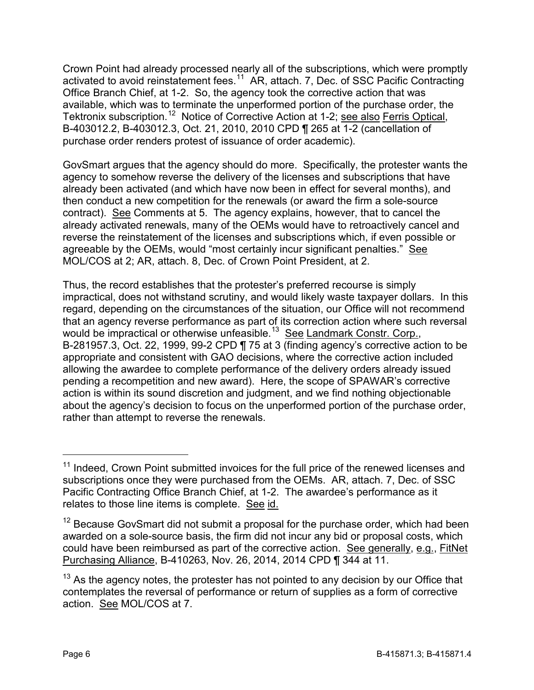Crown Point had already processed nearly all of the subscriptions, which were promptly activated to avoid reinstatement fees.<sup>[11](#page-5-0)</sup> AR, attach. 7, Dec. of SSC Pacific Contracting Office Branch Chief, at 1-2. So, the agency took the corrective action that was available, which was to terminate the unperformed portion of the purchase order, the Tektronix subscription.[12](#page-5-1) Notice of Corrective Action at 1-2; see also Ferris Optical, B-403012.2, B-403012.3, Oct. 21, 2010, 2010 CPD ¶ 265 at 1-2 (cancellation of purchase order renders protest of issuance of order academic).

GovSmart argues that the agency should do more. Specifically, the protester wants the agency to somehow reverse the delivery of the licenses and subscriptions that have already been activated (and which have now been in effect for several months), and then conduct a new competition for the renewals (or award the firm a sole-source contract). See Comments at 5. The agency explains, however, that to cancel the already activated renewals, many of the OEMs would have to retroactively cancel and reverse the reinstatement of the licenses and subscriptions which, if even possible or agreeable by the OEMs, would "most certainly incur significant penalties." See MOL/COS at 2; AR, attach. 8, Dec. of Crown Point President, at 2.

Thus, the record establishes that the protester's preferred recourse is simply impractical, does not withstand scrutiny, and would likely waste taxpayer dollars. In this regard, depending on the circumstances of the situation, our Office will not recommend that an agency reverse performance as part of its correction action where such reversal would be impractical or otherwise unfeasible.<sup>[13](#page-5-2)</sup> See Landmark Constr. Corp., B-281957.3, Oct. 22, 1999, 99-2 CPD ¶ 75 at 3 (finding agency's corrective action to be appropriate and consistent with GAO decisions, where the corrective action included allowing the awardee to complete performance of the delivery orders already issued pending a recompetition and new award). Here, the scope of SPAWAR's corrective action is within its sound discretion and judgment, and we find nothing objectionable about the agency's decision to focus on the unperformed portion of the purchase order, rather than attempt to reverse the renewals.

<span id="page-5-0"></span><sup>&</sup>lt;sup>11</sup> Indeed, Crown Point submitted invoices for the full price of the renewed licenses and subscriptions once they were purchased from the OEMs. AR, attach. 7, Dec. of SSC Pacific Contracting Office Branch Chief, at 1-2. The awardee's performance as it relates to those line items is complete. See id.

<span id="page-5-1"></span> $12$  Because GovSmart did not submit a proposal for the purchase order, which had been awarded on a sole-source basis, the firm did not incur any bid or proposal costs, which could have been reimbursed as part of the corrective action. See generally, e.g., FitNet Purchasing Alliance, B-410263, Nov. 26, 2014, 2014 CPD ¶ 344 at 11.

<span id="page-5-2"></span> $13$  As the agency notes, the protester has not pointed to any decision by our Office that contemplates the reversal of performance or return of supplies as a form of corrective action. See MOL/COS at 7.